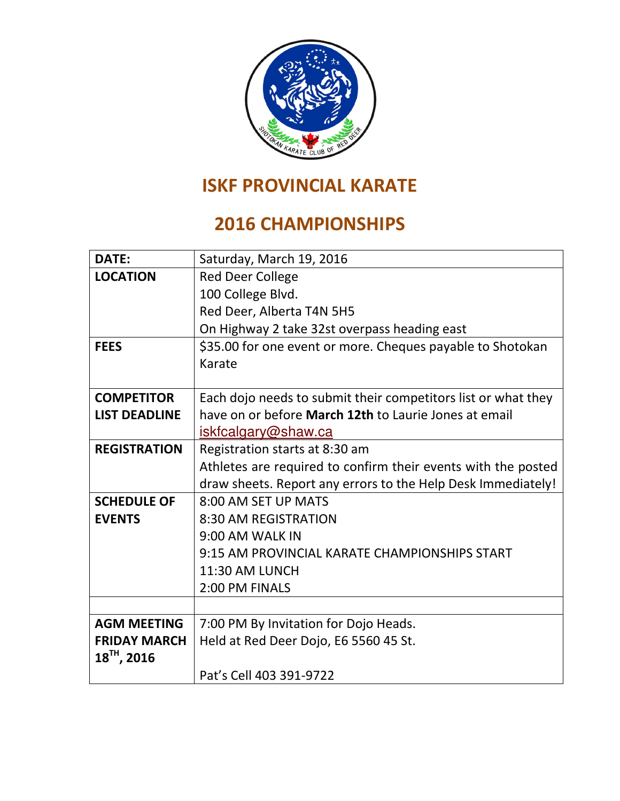

# ISKF PROVINCIAL KARATE

### 2016 CHAMPIONSHIPS

| <b>DATE:</b>         | Saturday, March 19, 2016                                      |
|----------------------|---------------------------------------------------------------|
| <b>LOCATION</b>      | <b>Red Deer College</b>                                       |
|                      | 100 College Blvd.                                             |
|                      | Red Deer, Alberta T4N 5H5                                     |
|                      | On Highway 2 take 32st overpass heading east                  |
| <b>FEES</b>          | \$35.00 for one event or more. Cheques payable to Shotokan    |
|                      | Karate                                                        |
|                      |                                                               |
| <b>COMPETITOR</b>    | Each dojo needs to submit their competitors list or what they |
| <b>LIST DEADLINE</b> | have on or before March 12th to Laurie Jones at email         |
|                      | iskfcalgary@shaw.ca                                           |
| <b>REGISTRATION</b>  | Registration starts at 8:30 am                                |
|                      | Athletes are required to confirm their events with the posted |
|                      | draw sheets. Report any errors to the Help Desk Immediately!  |
| <b>SCHEDULE OF</b>   | 8:00 AM SET UP MATS                                           |
| <b>EVENTS</b>        | 8:30 AM REGISTRATION                                          |
|                      | 9:00 AM WALK IN                                               |
|                      | 9:15 AM PROVINCIAL KARATE CHAMPIONSHIPS START                 |
|                      | 11:30 AM LUNCH                                                |
|                      | 2:00 PM FINALS                                                |
|                      |                                                               |
| <b>AGM MEETING</b>   | 7:00 PM By Invitation for Dojo Heads.                         |
| <b>FRIDAY MARCH</b>  | Held at Red Deer Dojo, E6 5560 45 St.                         |
| $18^{TH}$ , 2016     |                                                               |
|                      | Pat's Cell 403 391-9722                                       |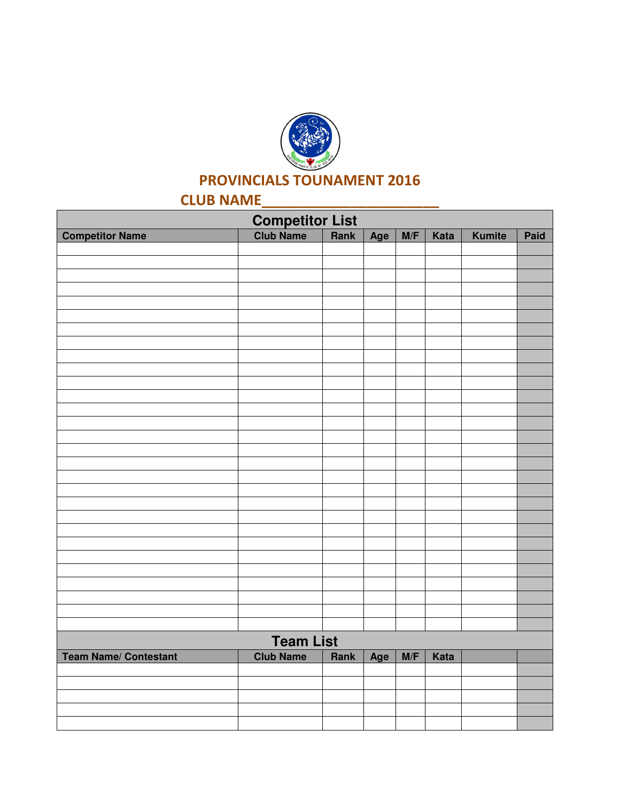

### PROVINCIALS TOUNAMENT 2016

## CLUB NAME\_\_\_\_\_\_\_\_\_\_\_\_\_\_\_\_\_\_\_\_\_\_

| Competitor List<br>Club Name   Rank |                  |      |     |     |      |               |      |  |  |
|-------------------------------------|------------------|------|-----|-----|------|---------------|------|--|--|
| <b>Competitor Name</b>              |                  |      | Age | M/F | Kata | <b>Kumite</b> | Paid |  |  |
|                                     |                  |      |     |     |      |               |      |  |  |
|                                     |                  |      |     |     |      |               |      |  |  |
|                                     |                  |      |     |     |      |               |      |  |  |
|                                     |                  |      |     |     |      |               |      |  |  |
|                                     |                  |      |     |     |      |               |      |  |  |
|                                     |                  |      |     |     |      |               |      |  |  |
|                                     |                  |      |     |     |      |               |      |  |  |
|                                     |                  |      |     |     |      |               |      |  |  |
|                                     |                  |      |     |     |      |               |      |  |  |
|                                     |                  |      |     |     |      |               |      |  |  |
|                                     |                  |      |     |     |      |               |      |  |  |
|                                     |                  |      |     |     |      |               |      |  |  |
|                                     |                  |      |     |     |      |               |      |  |  |
|                                     |                  |      |     |     |      |               |      |  |  |
|                                     |                  |      |     |     |      |               |      |  |  |
|                                     |                  |      |     |     |      |               |      |  |  |
|                                     |                  |      |     |     |      |               |      |  |  |
|                                     |                  |      |     |     |      |               |      |  |  |
|                                     |                  |      |     |     |      |               |      |  |  |
|                                     |                  |      |     |     |      |               |      |  |  |
|                                     |                  |      |     |     |      |               |      |  |  |
|                                     |                  |      |     |     |      |               |      |  |  |
|                                     |                  |      |     |     |      |               |      |  |  |
|                                     |                  |      |     |     |      |               |      |  |  |
|                                     |                  |      |     |     |      |               |      |  |  |
|                                     |                  |      |     |     |      |               |      |  |  |
|                                     |                  |      |     |     |      |               |      |  |  |
|                                     |                  |      |     |     |      |               |      |  |  |
| <b>Team List</b>                    |                  |      |     |     |      |               |      |  |  |
| <b>Team Name/ Contestant</b>        | <b>Club Name</b> | Rank | Age | M/F | Kata |               |      |  |  |
|                                     |                  |      |     |     |      |               |      |  |  |
|                                     |                  |      |     |     |      |               |      |  |  |
|                                     |                  |      |     |     |      |               |      |  |  |
|                                     |                  |      |     |     |      |               |      |  |  |
|                                     |                  |      |     |     |      |               |      |  |  |